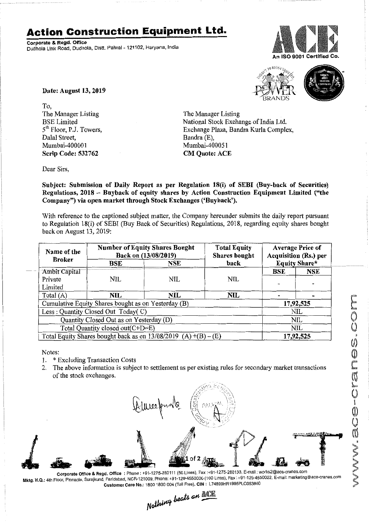## **Action Construction Equipment Ltd.**

Corporate & Regd. Office Dudhola Link Road, Dudhola, Distt. Palwal - 121102, Haryana, India





Date: August 13, 2019

To, The Manager Listing BSE Limited 5<sup>th</sup> Floor, P.J. Towers, Dalal Street, Mumbai-400001 Scrip Code: 532762

The Manager Listing National Stock Exchange of India Ltd. Exchange Plaza, Bandra Kurla Complex, Bandra(E), Mumbai-400051 CM Quote: ACE

Dear Sirs,

Subject: Submission of Daily Report as per Regulation 18(i) of SEBI (Buy-back of Securities) Regulations, 2018 - Buyback of equity shares by Action Construction Equipment Limited ("the Company") via open market through Stock Exchanges ('Buyback').

With reference to the captioned subject matter, the Company hereunder submits the daily report pursuant to Regulation 18(i) of SEBI (Buy Back of Securities) Regulations, 2018, regarding equity shares bought back on August 13, 2019:

| Name of the<br><b>Broker</b>                                      | <b>Number of Equity Shares Bought</b><br>Back on (13/08/2019) |            | <b>Total Equity</b><br><b>Shares</b> bought | <b>Average Price of</b><br><b>Acquisition (Rs.) per</b> |            |
|-------------------------------------------------------------------|---------------------------------------------------------------|------------|---------------------------------------------|---------------------------------------------------------|------------|
|                                                                   | BSE                                                           | <b>NSE</b> | back                                        | Equity Share*                                           |            |
| <b>Ambit Capital</b>                                              |                                                               |            |                                             | BSE                                                     | <b>NSE</b> |
| Private                                                           | NIL.                                                          | NIL.       | NIL                                         |                                                         |            |
| Limited                                                           |                                                               |            |                                             |                                                         |            |
| Total $(A)$                                                       | NIL.                                                          | <b>NIL</b> | NIL.                                        |                                                         |            |
| Cumulative Equity Shares bought as on Yesterday (B)               |                                                               |            |                                             | 17,92,525                                               |            |
| Less: Quantity Closed Out Today(C)                                |                                                               |            |                                             | <b>NIL</b>                                              |            |
| Quantity Closed Out as on Yesterday (D)                           |                                                               |            |                                             | <b>NIL</b>                                              |            |
| Total Quantity closed out(C+D=E)                                  |                                                               |            |                                             | NIL                                                     |            |
| Total Equity Shares bought back as on $13/08/2019$ (A) +(B) – (E) |                                                               |            |                                             | 17,92,525                                               |            |

Notes:

- 1. \* Excluding Transaction Costs
- 2. The above information is subject to settlement as per existing rules for secondary market transactions of the stock exchanges.



Corporate Office & Regd. Office: Phone: +91-1275-280111 (50 Lines), Fax:+91-1275-280133, E-mail: works2@ace-cranes.com Mktg. H.Q.: 4th Floor, Pinnacle, Surajkund, Faridabad, NCR-121009, Phone: +91-129-4550000 (100 Lines), Fax: +91-129-4550022, E-mail: marketing@ace-cranes.com Customer Care No.: 18001800004 (Toll Free), CIN: L74899HR1995PLC053860

Nothing beats an ACE